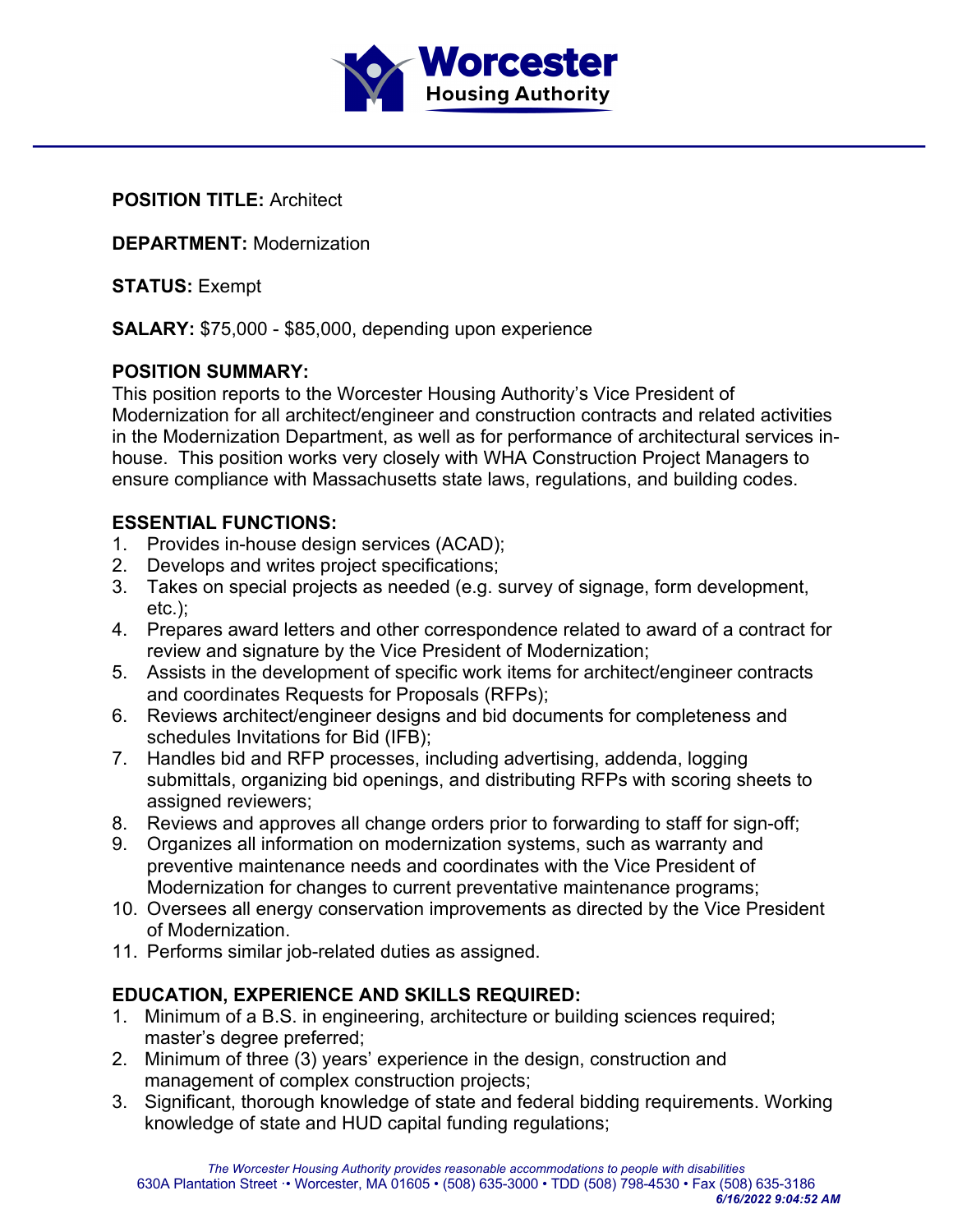

**POSITION TITLE:** Architect

**DEPARTMENT:** Modernization

**STATUS:** Exempt

**SALARY:** \$75,000 - \$85,000, depending upon experience

## **POSITION SUMMARY:**

This position reports to the Worcester Housing Authority's Vice President of Modernization for all architect/engineer and construction contracts and related activities in the Modernization Department, as well as for performance of architectural services inhouse. This position works very closely with WHA Construction Project Managers to ensure compliance with Massachusetts state laws, regulations, and building codes.

## **ESSENTIAL FUNCTIONS:**

- 1. Provides in-house design services (ACAD);
- 2. Develops and writes project specifications;
- 3. Takes on special projects as needed (e.g. survey of signage, form development, etc.);
- 4. Prepares award letters and other correspondence related to award of a contract for review and signature by the Vice President of Modernization;
- 5. Assists in the development of specific work items for architect/engineer contracts and coordinates Requests for Proposals (RFPs);
- 6. Reviews architect/engineer designs and bid documents for completeness and schedules Invitations for Bid (IFB);
- 7. Handles bid and RFP processes, including advertising, addenda, logging submittals, organizing bid openings, and distributing RFPs with scoring sheets to assigned reviewers;
- 8. Reviews and approves all change orders prior to forwarding to staff for sign-off;
- 9. Organizes all information on modernization systems, such as warranty and preventive maintenance needs and coordinates with the Vice President of Modernization for changes to current preventative maintenance programs;
- 10. Oversees all energy conservation improvements as directed by the Vice President of Modernization.
- 11. Performs similar job-related duties as assigned.

## **EDUCATION, EXPERIENCE AND SKILLS REQUIRED:**

- 1. Minimum of a B.S. in engineering, architecture or building sciences required; master's degree preferred;
- 2. Minimum of three (3) years' experience in the design, construction and management of complex construction projects;
- 3. Significant, thorough knowledge of state and federal bidding requirements. Working knowledge of state and HUD capital funding regulations;